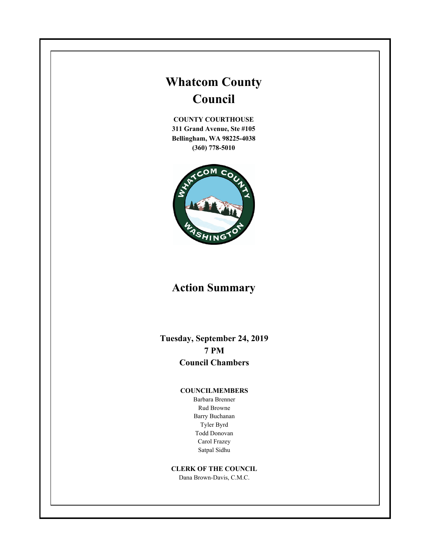# **Whatcom County Council**

**COUNTY COURTHOUSE 311 Grand Avenue, Ste #105 Bellingham, WA 98225-4038 (360) 778-5010**



# **Action Summary**

**Tuesday, September 24, 2019 7 PM Council Chambers**

#### **COUNCILMEMBERS**

Barbara Brenner Rud Browne Barry Buchanan Tyler Byrd Todd Donovan Carol Frazey Satpal Sidhu

## **CLERK OF THE COUNCIL**

Dana Brown-Davis, C.M.C.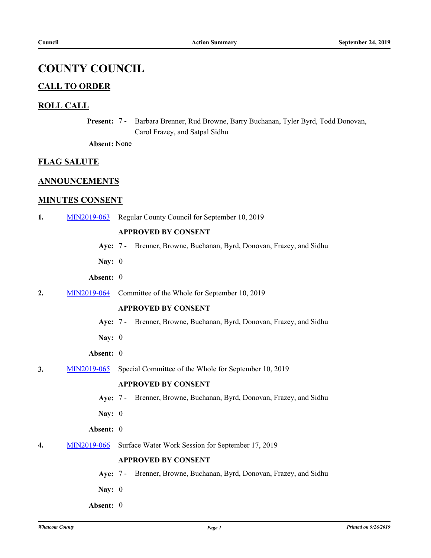## **COUNTY COUNCIL**

## **CALL TO ORDER**

## **ROLL CALL**

Present: 7 - Barbara Brenner, Rud Browne, Barry Buchanan, Tyler Byrd, Todd Donovan, Carol Frazey, and Satpal Sidhu

**Absent:** None

## **FLAG SALUTE**

## **ANNOUNCEMENTS**

## **MINUTES CONSENT**

**1.** [MIN2019-063](http://whatcom.legistar.com/gateway.aspx?m=l&id=/matter.aspx?key=2539) Regular County Council for September 10, 2019

## **APPROVED BY CONSENT**

- **Aye:** 7 Brenner, Browne, Buchanan, Byrd, Donovan, Frazey, and Sidhu
- **Nay:** 0
- **Absent:** 0
- **2.** [MIN2019-064](http://whatcom.legistar.com/gateway.aspx?m=l&id=/matter.aspx?key=2540) Committee of the Whole for September 10, 2019

## **APPROVED BY CONSENT**

- **Aye:** 7 Brenner, Browne, Buchanan, Byrd, Donovan, Frazey, and Sidhu
- **Nay:** 0
- **Absent:** 0
- **3.** [MIN2019-065](http://whatcom.legistar.com/gateway.aspx?m=l&id=/matter.aspx?key=2541) Special Committee of the Whole for September 10, 2019

## **APPROVED BY CONSENT**

- **Aye:** 7 Brenner, Browne, Buchanan, Byrd, Donovan, Frazey, and Sidhu
- **Nay:** 0
- **Absent:** 0
- **4.** [MIN2019-066](http://whatcom.legistar.com/gateway.aspx?m=l&id=/matter.aspx?key=2542) Surface Water Work Session for September 17, 2019

## **APPROVED BY CONSENT**

**Aye:** 7 - Brenner, Browne, Buchanan, Byrd, Donovan, Frazey, and Sidhu

- **Nay:** 0
- **Absent:** 0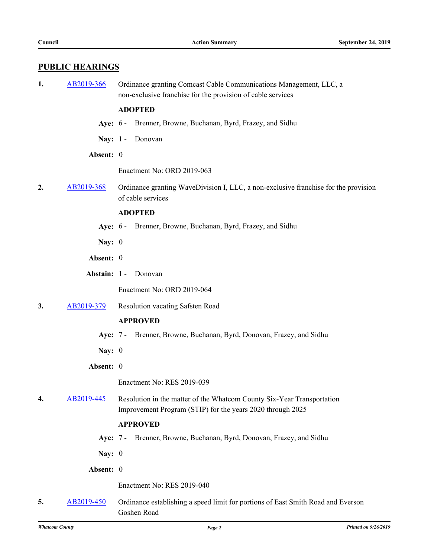## **PUBLIC HEARINGS**

**1.** [AB2019-366](http://whatcom.legistar.com/gateway.aspx?m=l&id=/matter.aspx?key=2408) Ordinance granting Comcast Cable Communications Management, LLC, a non-exclusive franchise for the provision of cable services

## **ADOPTED**

- **Aye:** 6 Brenner, Browne, Buchanan, Byrd, Frazey, and Sidhu
- Nay: 1 Donovan
- **Absent:** 0

Enactment No: ORD 2019-063

**2.** [AB2019-368](http://whatcom.legistar.com/gateway.aspx?m=l&id=/matter.aspx?key=2410) Ordinance granting WaveDivision I, LLC, a non-exclusive franchise for the provision of cable services

#### **ADOPTED**

- **Aye:** 6 Brenner, Browne, Buchanan, Byrd, Frazey, and Sidhu
- **Nay:** 0
- **Absent:** 0
- **Abstain:** 1 Donovan

Enactment No: ORD 2019-064

**3.** [AB2019-379](http://whatcom.legistar.com/gateway.aspx?m=l&id=/matter.aspx?key=2421) Resolution vacating Safsten Road

#### **APPROVED**

- **Aye:** 7 Brenner, Browne, Buchanan, Byrd, Donovan, Frazey, and Sidhu
- **Nay:** 0
- **Absent:** 0

Enactment No: RES 2019-039

**4.** [AB2019-445](http://whatcom.legistar.com/gateway.aspx?m=l&id=/matter.aspx?key=2502) Resolution in the matter of the Whatcom County Six-Year Transportation Improvement Program (STIP) for the years 2020 through 2025

#### **APPROVED**

**Aye:** 7 - Brenner, Browne, Buchanan, Byrd, Donovan, Frazey, and Sidhu

**Nay:** 0

**Absent:** 0

Enactment No: RES 2019-040

**5.** [AB2019-450](http://whatcom.legistar.com/gateway.aspx?m=l&id=/matter.aspx?key=2507) Ordinance establishing a speed limit for portions of East Smith Road and Everson Goshen Road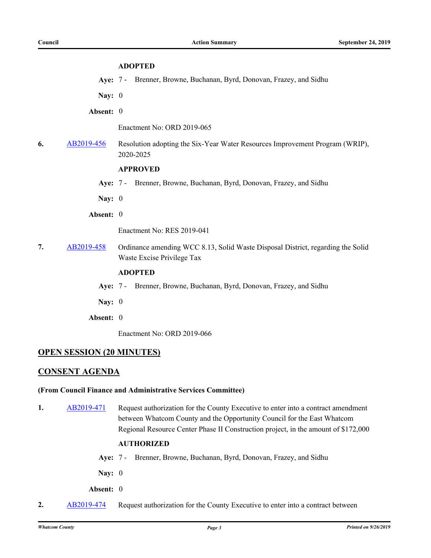## **ADOPTED**

**Aye:** 7 - Brenner, Browne, Buchanan, Byrd, Donovan, Frazey, and Sidhu

**Nay:** 0

**Absent:** 0

Enactment No: ORD 2019-065

**6.** [AB2019-456](http://whatcom.legistar.com/gateway.aspx?m=l&id=/matter.aspx?key=2513) Resolution adopting the Six-Year Water Resources Improvement Program (WRIP), 2020-2025

#### **APPROVED**

- **Aye:** 7 Brenner, Browne, Buchanan, Byrd, Donovan, Frazey, and Sidhu
- **Nay:** 0
- **Absent:** 0

Enactment No: RES 2019-041

**7.** [AB2019-458](http://whatcom.legistar.com/gateway.aspx?m=l&id=/matter.aspx?key=2515) Ordinance amending WCC 8.13, Solid Waste Disposal District, regarding the Solid Waste Excise Privilege Tax

## **ADOPTED**

- **Aye:** 7 Brenner, Browne, Buchanan, Byrd, Donovan, Frazey, and Sidhu
- **Nay:** 0
- **Absent:** 0

Enactment No: ORD 2019-066

## **OPEN SESSION (20 MINUTES)**

## **CONSENT AGENDA**

#### **(From Council Finance and Administrative Services Committee)**

**1.** [AB2019-471](http://whatcom.legistar.com/gateway.aspx?m=l&id=/matter.aspx?key=2528) Request authorization for the County Executive to enter into a contract amendment between Whatcom County and the Opportunity Council for the East Whatcom Regional Resource Center Phase II Construction project, in the amount of \$172,000

#### **AUTHORIZED**

- **Aye:** 7 Brenner, Browne, Buchanan, Byrd, Donovan, Frazey, and Sidhu
- **Nay:** 0

**Absent:** 0

**2.** [AB2019-474](http://whatcom.legistar.com/gateway.aspx?m=l&id=/matter.aspx?key=2531) Request authorization for the County Executive to enter into a contract between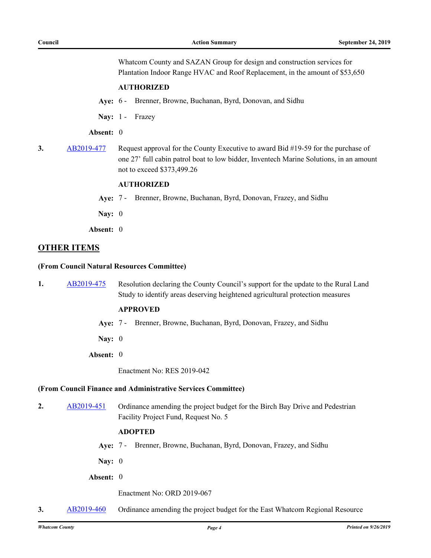Whatcom County and SAZAN Group for design and construction services for Plantation Indoor Range HVAC and Roof Replacement, in the amount of \$53,650

## **AUTHORIZED**

- **Aye:** 6 Brenner, Browne, Buchanan, Byrd, Donovan, and Sidhu
- Nay: 1 Frazey

## **Absent:** 0

**3.** [AB2019-477](http://whatcom.legistar.com/gateway.aspx?m=l&id=/matter.aspx?key=2534) Request approval for the County Executive to award Bid #19-59 for the purchase of one 27' full cabin patrol boat to low bidder, Inventech Marine Solutions, in an amount not to exceed \$373,499.26

#### **AUTHORIZED**

- **Aye:** 7 Brenner, Browne, Buchanan, Byrd, Donovan, Frazey, and Sidhu
- **Nay:** 0
- **Absent:** 0

## **OTHER ITEMS**

#### **(From Council Natural Resources Committee)**

**1.** [AB2019-475](http://whatcom.legistar.com/gateway.aspx?m=l&id=/matter.aspx?key=2532) Resolution declaring the County Council's support for the update to the Rural Land Study to identify areas deserving heightened agricultural protection measures

#### **APPROVED**

- **Aye:** 7 Brenner, Browne, Buchanan, Byrd, Donovan, Frazey, and Sidhu
- **Nay:** 0
- **Absent:** 0

Enactment No: RES 2019-042

#### **(From Council Finance and Administrative Services Committee)**

2. [AB2019-451](http://whatcom.legistar.com/gateway.aspx?m=l&id=/matter.aspx?key=2508) Ordinance amending the project budget for the Birch Bay Drive and Pedestrian Facility Project Fund, Request No. 5

#### **ADOPTED**

- **Aye:** 7 Brenner, Browne, Buchanan, Byrd, Donovan, Frazey, and Sidhu
- **Nay:** 0
- **Absent:** 0

Enactment No: ORD 2019-067

**3.** [AB2019-460](http://whatcom.legistar.com/gateway.aspx?m=l&id=/matter.aspx?key=2517) Ordinance amending the project budget for the East Whatcom Regional Resource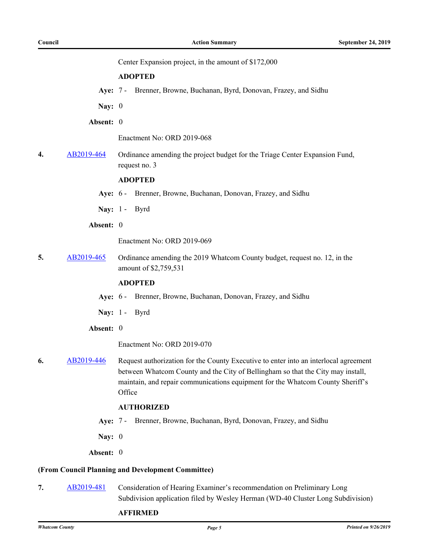Center Expansion project, in the amount of \$172,000

#### **ADOPTED**

**Aye:** 7 - Brenner, Browne, Buchanan, Byrd, Donovan, Frazey, and Sidhu

**Nay:** 0

**Absent:** 0

Enactment No: ORD 2019-068

**4.** [AB2019-464](http://whatcom.legistar.com/gateway.aspx?m=l&id=/matter.aspx?key=2521) Ordinance amending the project budget for the Triage Center Expansion Fund, request no. 3

## **ADOPTED**

- **Aye:** 6 Brenner, Browne, Buchanan, Donovan, Frazey, and Sidhu
- **Nay:** 1 Byrd
- **Absent:** 0

Enactment No: ORD 2019-069

**5.** [AB2019-465](http://whatcom.legistar.com/gateway.aspx?m=l&id=/matter.aspx?key=2522) Ordinance amending the 2019 Whatcom County budget, request no. 12, in the amount of \$2,759,531

#### **ADOPTED**

- **Aye:** 6 Brenner, Browne, Buchanan, Donovan, Frazey, and Sidhu
- **Nay:** 1 Byrd
- **Absent:** 0

Enactment No: ORD 2019-070

**6.** [AB2019-446](http://whatcom.legistar.com/gateway.aspx?m=l&id=/matter.aspx?key=2503) Request authorization for the County Executive to enter into an interlocal agreement between Whatcom County and the City of Bellingham so that the City may install, maintain, and repair communications equipment for the Whatcom County Sheriff's **Office** 

#### **AUTHORIZED**

- **Aye:** 7 Brenner, Browne, Buchanan, Byrd, Donovan, Frazey, and Sidhu
- **Nay:** 0
- **Absent:** 0

#### **(From Council Planning and Development Committee)**

**7.** [AB2019-481](http://whatcom.legistar.com/gateway.aspx?m=l&id=/matter.aspx?key=2538) Consideration of Hearing Examiner's recommendation on Preliminary Long Subdivision application filed by Wesley Herman (WD-40 Cluster Long Subdivision)

#### **AFFIRMED**